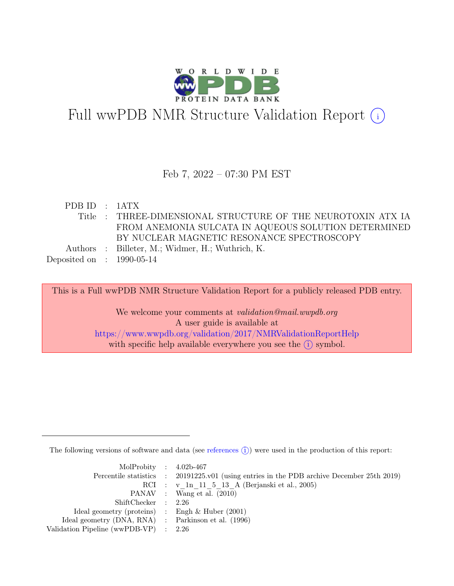

## Full wwPDB NMR Structure Validation Report  $(i)$

### Feb 7, 2022 – 07:30 PM EST

PDB ID : 1ATX Title : THREE-DIMENSIONAL STRUCTURE OF THE NEUROTOXIN ATX IA FROM ANEMONIA SULCATA IN AQUEOUS SOLUTION DETERMINED BY NUCLEAR MAGNETIC RESONANCE SPECTROSCOPY Authors : Billeter, M.; Widmer, H.; Wuthrich, K. Deposited on : 1990-05-14

This is a Full wwPDB NMR Structure Validation Report for a publicly released PDB entry.

We welcome your comments at *validation@mail.wwpdb.org* A user guide is available at <https://www.wwpdb.org/validation/2017/NMRValidationReportHelp> with specific help available everywhere you see the  $(i)$  symbol.

The following versions of software and data (see [references](https://www.wwpdb.org/validation/2017/NMRValidationReportHelp#references)  $(i)$ ) were used in the production of this report:

| MolProbity : $4.02b-467$                            |                                                                                            |
|-----------------------------------------------------|--------------------------------------------------------------------------------------------|
|                                                     | Percentile statistics : 20191225.v01 (using entries in the PDB archive December 25th 2019) |
|                                                     | RCI : v 1n 11 5 13 A (Berjanski et al., 2005)                                              |
|                                                     | PANAV : Wang et al. (2010)                                                                 |
| ShiftChecker : 2.26                                 |                                                                                            |
| Ideal geometry (proteins) : Engh $\&$ Huber (2001)  |                                                                                            |
| Ideal geometry (DNA, RNA) : Parkinson et al. (1996) |                                                                                            |
| Validation Pipeline (wwPDB-VP) $\therefore$ 2.26    |                                                                                            |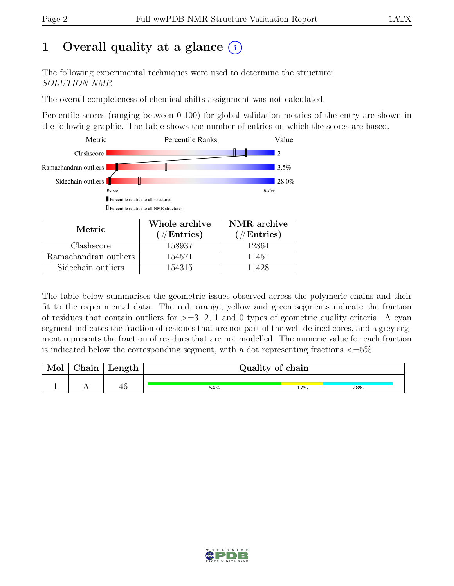## 1 Overall quality at a glance  $(i)$

The following experimental techniques were used to determine the structure: SOLUTION NMR

The overall completeness of chemical shifts assignment was not calculated.

Percentile scores (ranging between 0-100) for global validation metrics of the entry are shown in the following graphic. The table shows the number of entries on which the scores are based.



| Metric.               | Whole archive<br>$(\#Entries)$ | NMR archive<br>$(\#Entries)$ |  |  |
|-----------------------|--------------------------------|------------------------------|--|--|
| Clashscore            | 158937                         | 12864                        |  |  |
| Ramachandran outliers | 154571                         | 11451                        |  |  |
| Sidechain outliers    | 154315                         | 11428                        |  |  |

The table below summarises the geometric issues observed across the polymeric chains and their fit to the experimental data. The red, orange, yellow and green segments indicate the fraction of residues that contain outliers for  $>=$  3, 2, 1 and 0 types of geometric quality criteria. A cyan segment indicates the fraction of residues that are not part of the well-defined cores, and a grey segment represents the fraction of residues that are not modelled. The numeric value for each fraction is indicated below the corresponding segment, with a dot representing fractions  $\langle=5\%$ 

| Mol | $\mid$ Chain $\mid$ | Length | Quality of chain |     |     |
|-----|---------------------|--------|------------------|-----|-----|
|     |                     | 40     | 54%              | 17% | 28% |

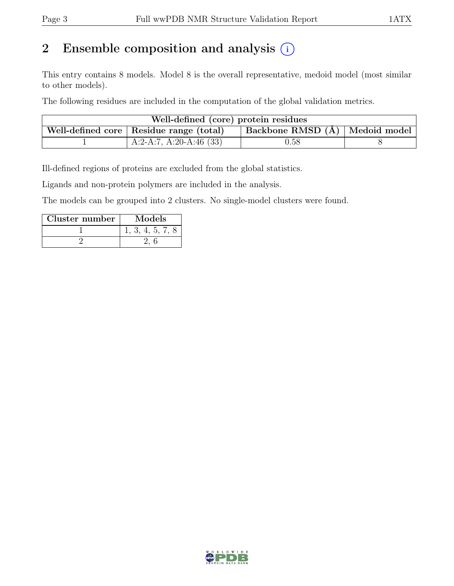## 2 Ensemble composition and analysis  $(i)$

This entry contains 8 models. Model 8 is the overall representative, medoid model (most similar to other models).

The following residues are included in the computation of the global validation metrics.

| Well-defined (core) protein residues |                                           |                                          |  |  |  |
|--------------------------------------|-------------------------------------------|------------------------------------------|--|--|--|
|                                      | Well-defined core   Residue range (total) | $\vert$ Backbone RMSD $(A)$ Medoid model |  |  |  |
|                                      | A:2-A:7, A:20-A:46 $(33)$                 | 0.58                                     |  |  |  |

Ill-defined regions of proteins are excluded from the global statistics.

Ligands and non-protein polymers are included in the analysis.

The models can be grouped into 2 clusters. No single-model clusters were found.

| Cluster number | Models         |
|----------------|----------------|
|                | 1, 3, 4, 5, 7, |
|                |                |

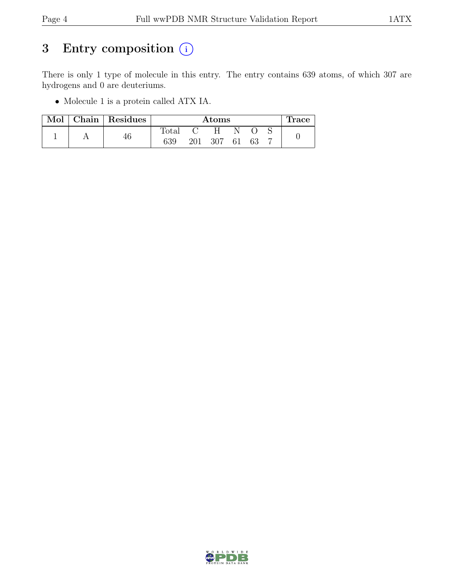## 3 Entry composition  $(i)$

There is only 1 type of molecule in this entry. The entry contains 639 atoms, of which 307 are hydrogens and 0 are deuteriums.

• Molecule 1 is a protein called ATX IA.

| Mol | Chain   Residues | Atoms          |     |     |    | race |  |  |
|-----|------------------|----------------|-----|-----|----|------|--|--|
|     |                  | $_{\rm Total}$ |     |     |    |      |  |  |
|     | 46               | 639            | 201 | 307 | 61 | -63  |  |  |

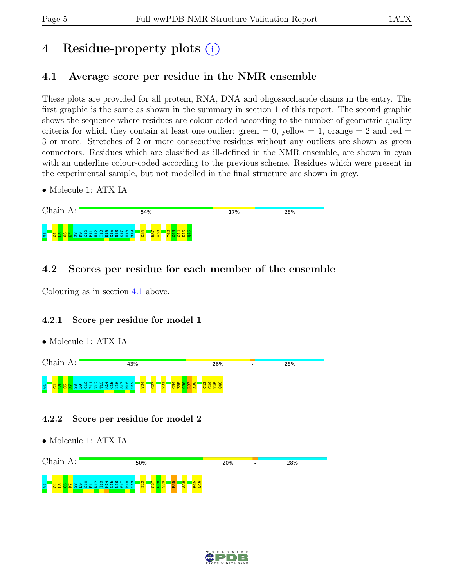## 4 Residue-property plots (i)

## <span id="page-4-0"></span>4.1 Average score per residue in the NMR ensemble

These plots are provided for all protein, RNA, DNA and oligosaccharide chains in the entry. The first graphic is the same as shown in the summary in section 1 of this report. The second graphic shows the sequence where residues are colour-coded according to the number of geometric quality criteria for which they contain at least one outlier:  $green = 0$ ,  $yellow = 1$ ,  $orange = 2$  and  $red =$ 3 or more. Stretches of 2 or more consecutive residues without any outliers are shown as green connectors. Residues which are classified as ill-defined in the NMR ensemble, are shown in cyan with an underline colour-coded according to the previous scheme. Residues which were present in the experimental sample, but not modelled in the final structure are shown in grey.

• Molecule 1: ATX IA



## 4.2 Scores per residue for each member of the ensemble

Colouring as in section [4.1](#page-4-0) above.

### 4.2.1 Score per residue for model 1

• Molecule 1: ATX IA



- 4.2.2 Score per residue for model 2
- Molecule 1: ATX IA



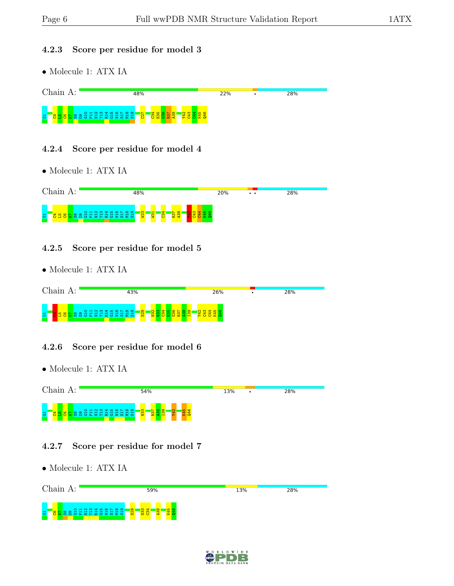#### 4.2.3 Score per residue for model 3

• Molecule 1: ATX IA



#### 4.2.4 Score per residue for model 4

• Molecule 1: ATX IA



#### 4.2.5 Score per residue for model 5

• Molecule 1: ATX IA

| Chain. | 43%                                        | 26% | 28% |  |
|--------|--------------------------------------------|-----|-----|--|
|        | <b>Bangharan Sanghara</b><br>$\frac{1}{3}$ | ÷   |     |  |

### 4.2.6 Score per residue for model 6

• Molecule 1: ATX IA



### 4.2.7 Score per residue for model 7

• Molecule 1: ATX IA



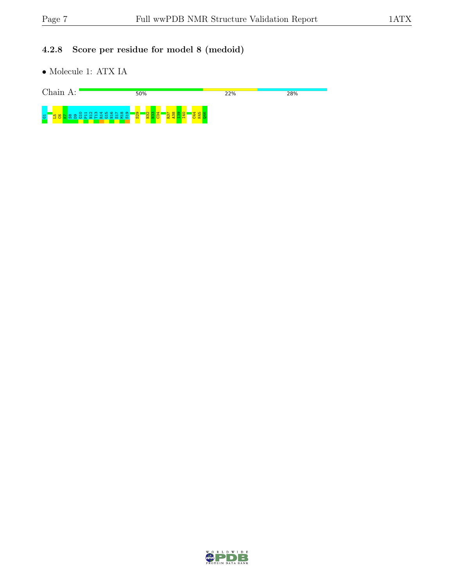## 4.2.8 Score per residue for model 8 (medoid)

• Molecule 1: ATX IA



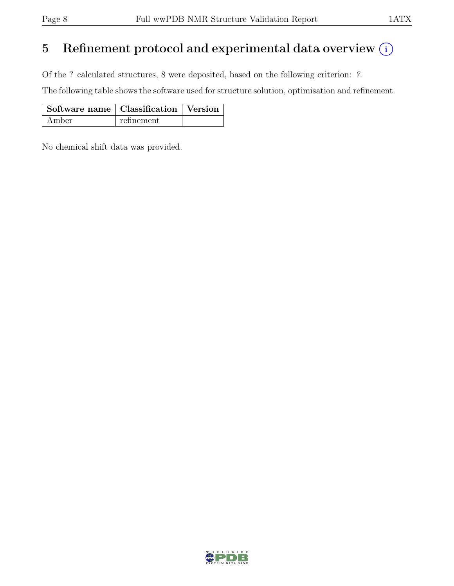## 5 Refinement protocol and experimental data overview  $(i)$

Of the ? calculated structures, 8 were deposited, based on the following criterion: ?.

The following table shows the software used for structure solution, optimisation and refinement.

| Software name   Classification   Version |            |  |
|------------------------------------------|------------|--|
| Amber                                    | refinement |  |

No chemical shift data was provided.

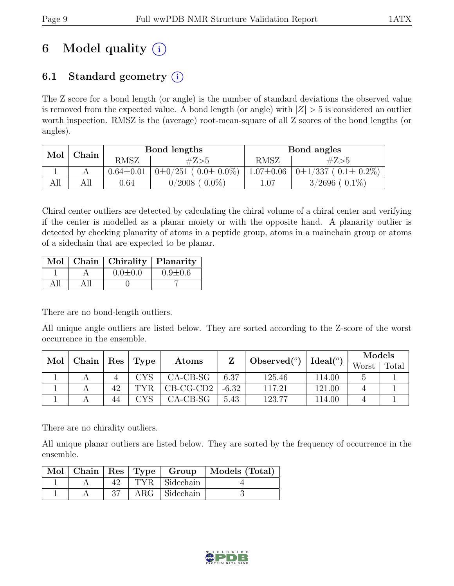## 6 Model quality  $(i)$

## 6.1 Standard geometry  $(i)$

The Z score for a bond length (or angle) is the number of standard deviations the observed value is removed from the expected value. A bond length (or angle) with  $|Z| > 5$  is considered an outlier worth inspection. RMSZ is the (average) root-mean-square of all Z scores of the bond lengths (or angles).

| Mol<br>Chain |  |                 | Bond lengths                    | Bond angles     |                                      |  |
|--------------|--|-----------------|---------------------------------|-----------------|--------------------------------------|--|
|              |  | <b>RMSZ</b>     | #Z>5                            | RMSZ            | #Z>5                                 |  |
|              |  | $0.64 \pm 0.01$ | $0\pm 0/251$ ( $0.0\pm 0.0\%$ ) | $1.07 \pm 0.06$ | $(0.1 \pm 0.2\%)$<br>$0 \pm 1/337$ , |  |
| All          |  | 0.64            | $0.0\%$<br>0/2008               | 1.07            | $0.1\%$<br>3/2696                    |  |

Chiral center outliers are detected by calculating the chiral volume of a chiral center and verifying if the center is modelled as a planar moiety or with the opposite hand. A planarity outlier is detected by checking planarity of atoms in a peptide group, atoms in a mainchain group or atoms of a sidechain that are expected to be planar.

|  | Mol   Chain   Chirality   Planarity |               |
|--|-------------------------------------|---------------|
|  | $0.0 \pm 0.0$                       | $0.9 \pm 0.6$ |
|  |                                     |               |

There are no bond-length outliers.

All unique angle outliers are listed below. They are sorted according to the Z-score of the worst occurrence in the ensemble.

| Mol |             | $\vert$ Type |      | Ideal (°)   | Models              |        |        |  |       |       |
|-----|-------------|--------------|------|-------------|---------------------|--------|--------|--|-------|-------|
|     | Chain   Res |              |      | Atoms       | Observed $(^\circ)$ |        |        |  | Worst | Total |
|     |             |              | CYS  | $CA-CB-SG$  | 6.37                | 125.46 | 114.00 |  |       |       |
|     |             | 42           | TYR. | $CB-CG-CD2$ | $-6.32$             | 117.21 | 121.00 |  |       |       |
|     |             | 44           | CVS  | $CA-CB-SG$  | 5.43                | 123.77 | 114.00 |  |       |       |

There are no chirality outliers.

All unique planar outliers are listed below. They are sorted by the frequency of occurrence in the ensemble.

|  |     |                      | Mol   Chain   Res   Type   Group   Models (Total) |
|--|-----|----------------------|---------------------------------------------------|
|  |     | TYR Sidechain        |                                                   |
|  | -37 | $ARG \mid Sidechain$ |                                                   |

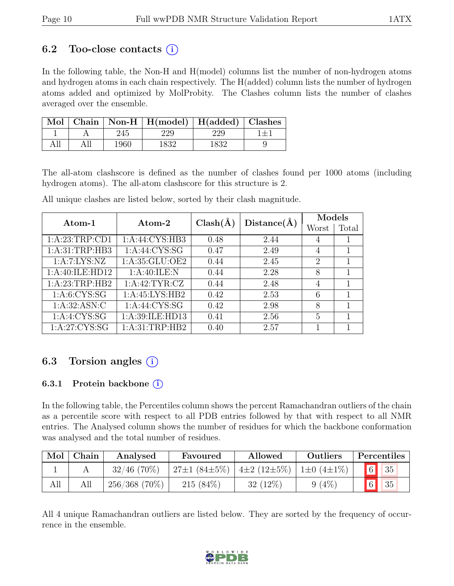### 6.2 Too-close contacts  $(i)$

In the following table, the Non-H and H(model) columns list the number of non-hydrogen atoms and hydrogen atoms in each chain respectively. The H(added) column lists the number of hydrogen atoms added and optimized by MolProbity. The Clashes column lists the number of clashes averaged over the ensemble.

|  |      | Mol   Chain   Non-H   H(model)   H(added)   Clashes |       |  |
|--|------|-----------------------------------------------------|-------|--|
|  |      |                                                     |       |  |
|  | 1960 |                                                     | '832- |  |

The all-atom clashscore is defined as the number of clashes found per 1000 atoms (including hydrogen atoms). The all-atom clashscore for this structure is 2.

| Atom-1           | Atom-2           | $Clash(\AA)$ | Distance(A) | Models         |       |
|------------------|------------------|--------------|-------------|----------------|-------|
|                  |                  |              |             | Worst          | Total |
| 1: A:23:TRP:CD1  | 1:A:44:CYS:HB3   | 0.48         | 2.44        | 4              |       |
| 1: A:31:TRP:HB3  | 1:A:44:CYS:SG    | 0.47         | 2.49        | 4              | 1     |
| 1:A:7:LYS:NZ     | 1:A:35:GLU:OE2   | 0.44         | 2.45        | $\overline{2}$ |       |
| 1:A:40:ILE:HD12  | 1:A:40:ILE:N     | 0.44         | 2.28        | 8              | 1     |
| 1:A:23:TRP:HB2   | 1: A:42: TYR: CZ | 0.44         | 2.48        | 4              | 1     |
| 1: A: 6: CYS: SG | 1:A:45:LYS:HB2   | 0.42         | 2.53        | 6              | 1     |
| 1: A:32: ASN: C  | 1: A:44: CYS:SG  | 0.42         | 2.98        | 8              | 1     |
| 1:A:4:CYS:SG     | 1:A:39:ILE:HD13  | 0.41         | 2.56        | 5              | 1     |
| 1: A:27: CYS:SG  | 1: A:31:TRP:HB2  | 0.40         | 2.57        |                |       |

All unique clashes are listed below, sorted by their clash magnitude.

## 6.3 Torsion angles  $(i)$

#### 6.3.1 Protein backbone (i)

In the following table, the Percentiles column shows the percent Ramachandran outliers of the chain as a percentile score with respect to all PDB entries followed by that with respect to all NMR entries. The Analysed column shows the number of residues for which the backbone conformation was analysed and the total number of residues.

| Mol | Chain | Analysed        | Favoured           | Allowed                  | Outliers              | Percentiles |    |
|-----|-------|-----------------|--------------------|--------------------------|-----------------------|-------------|----|
|     |       | $32/46$ (70%)   | $27\pm1(84\pm5\%)$ | $4\pm 2$ (12 $\pm 5\%$ ) | $1\pm0$ (4 $\pm1\%$ ) | 6           | 35 |
| All | All   | $256/368$ (70%) | $215(84\%)$        | $32(12\%)$               | (4%                   | $6\vert$    | 35 |

All 4 unique Ramachandran outliers are listed below. They are sorted by the frequency of occurrence in the ensemble.

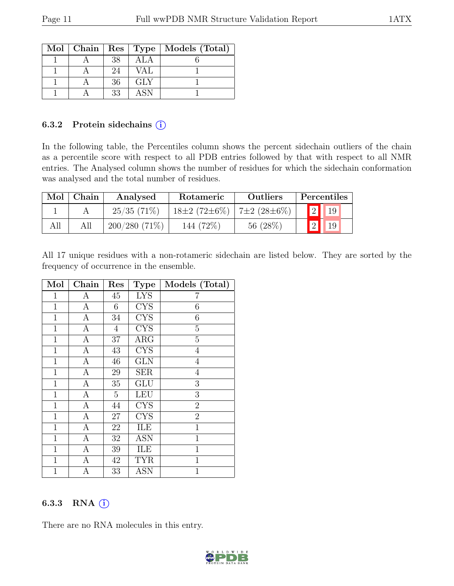|  |    |     | Mol   Chain   Res   Type   Models (Total) |
|--|----|-----|-------------------------------------------|
|  | 38 | ALA |                                           |
|  | 24 | VAL |                                           |
|  | 36 | GLY |                                           |
|  | 33 | ASN |                                           |

#### 6.3.2 Protein side chains  $(i)$

In the following table, the Percentiles column shows the percent sidechain outliers of the chain as a percentile score with respect to all PDB entries followed by that with respect to all NMR entries. The Analysed column shows the number of residues for which the sidechain conformation was analysed and the total number of residues.

| Mol | Chain | Analysed        | Rotameric          | <b>Outliers</b>   | Percentiles  |
|-----|-------|-----------------|--------------------|-------------------|--------------|
|     |       | 25/35(71%)      | $18\pm2(72\pm6\%)$ | $7\pm2(28\pm6\%)$ | $ 19\rangle$ |
| All | All   | $200/280(71\%)$ | 144 (72\%)         | 56(28%)           |              |

All 17 unique residues with a non-rotameric sidechain are listed below. They are sorted by the frequency of occurrence in the ensemble.

| Mol          | Chain            | Res            | <b>Type</b>             | Models (Total)   |
|--------------|------------------|----------------|-------------------------|------------------|
| $\mathbf{1}$ | А                | 45             | <b>LYS</b>              | 7                |
| $\mathbf{1}$ | $\overline{A}$   | 6              | $\overline{\text{CYS}}$ | 6                |
| 1            | $\boldsymbol{A}$ | 34             | <b>CYS</b>              | 6                |
| $\mathbf{1}$ | $\boldsymbol{A}$ | $\overline{4}$ | <b>CYS</b>              | $\overline{5}$   |
| $\mathbf{1}$ | $\boldsymbol{A}$ | 37             | ARG                     | $\overline{5}$   |
| $\mathbf{1}$ | $\boldsymbol{A}$ | 43             | <b>CYS</b>              | $\overline{4}$   |
| $\mathbf{1}$ | $\overline{A}$   | 46             | $\overline{\text{GLN}}$ | $\overline{4}$   |
| $\mathbf 1$  | $\boldsymbol{A}$ | 29             | <b>SER</b>              | $\overline{4}$   |
| $\mathbf{1}$ | $\mathbf{A}$     | $35\,$         | GLU                     | $\boldsymbol{3}$ |
| $\mathbf{1}$ | $\boldsymbol{A}$ | $\overline{5}$ | <b>LEU</b>              | 3                |
| $\mathbf{1}$ | $\boldsymbol{A}$ | 44             | <b>CYS</b>              | $\overline{2}$   |
| $\mathbf{1}$ | $\mathbf{A}$     | 27             | $\overline{\text{CYS}}$ | $\overline{2}$   |
| $\mathbf{1}$ | $\mathbf{A}$     | 22             | ILE                     | $\mathbf{1}$     |
| $\mathbf{1}$ | $\mathbf{A}$     | $32\,$         | <b>ASN</b>              | $\mathbf{1}$     |
| $\mathbf{1}$ | $\overline{A}$   | 39             | ILE                     | $\mathbf{1}$     |
| $\mathbf 1$  | $\mathbf{A}$     | 42             | <b>TYR</b>              | $\mathbf{1}$     |
| 1            | Α                | 33             | <b>ASN</b>              | 1                |

### 6.3.3 RNA  $(i)$

There are no RNA molecules in this entry.

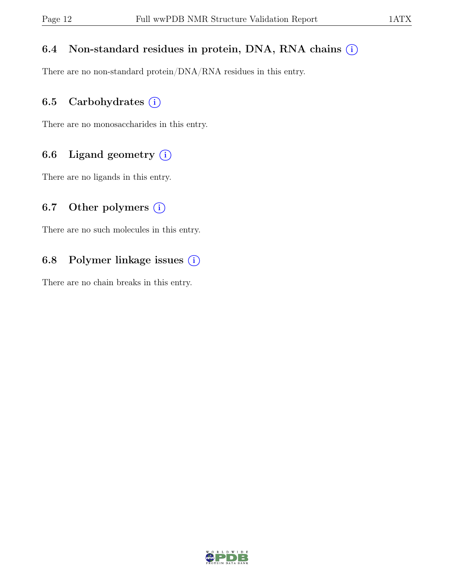### 6.4 Non-standard residues in protein, DNA, RNA chains  $(i)$

There are no non-standard protein/DNA/RNA residues in this entry.

## 6.5 Carbohydrates  $(i)$

There are no monosaccharides in this entry.

## 6.6 Ligand geometry  $(i)$

There are no ligands in this entry.

## 6.7 Other polymers  $(i)$

There are no such molecules in this entry.

## 6.8 Polymer linkage issues  $(i)$

There are no chain breaks in this entry.